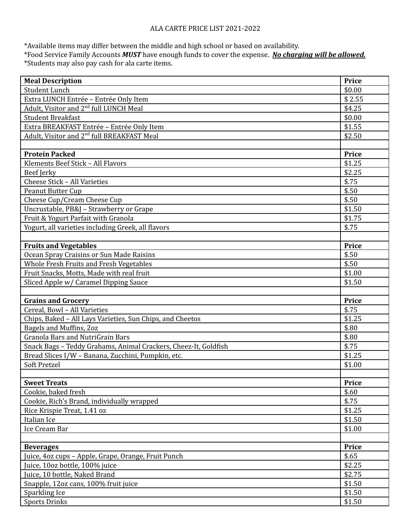## ALA CARTE PRICE LIST 2021-2022

\*Available items may differ between the middle and high school or based on availability.

\*Food Service Family Accounts *MUST* have enough funds to cover the expense. *No charging will be allowed.* \*Students may also pay cash for ala carte items.

| <b>Meal Description</b>                                         | <b>Price</b>     |
|-----------------------------------------------------------------|------------------|
| <b>Student Lunch</b>                                            | \$0.00           |
| Extra LUNCH Entrée - Entrée Only Item                           | \$2.55           |
| Adult, Visitor and 2 <sup>nd</sup> full LUNCH Meal              | \$4.25           |
| <b>Student Breakfast</b>                                        | \$0.00           |
| Extra BREAKFAST Entrée - Entrée Only Item                       | \$1.55           |
| Adult, Visitor and 2 <sup>nd</sup> full BREAKFAST Meal          | \$2.50           |
|                                                                 |                  |
| <b>Protein Packed</b>                                           | <b>Price</b>     |
| Klements Beef Stick - All Flavors                               | \$1.25           |
| Beef Jerky                                                      | \$2.25           |
| Cheese Stick - All Varieties                                    | \$.75            |
| <b>Peanut Butter Cup</b>                                        | \$.50            |
| Cheese Cup/Cream Cheese Cup                                     | \$.50            |
| Uncrustable, PB&J - Strawberry or Grape                         | \$1.50           |
| Fruit & Yogurt Parfait with Granola                             | \$1.75           |
| Yogurt, all varieties including Greek, all flavors              | \$.75            |
|                                                                 |                  |
| <b>Fruits and Vegetables</b>                                    | <b>Price</b>     |
| Ocean Spray Craisins or Sun Made Raisins                        | \$.50            |
| Whole Fresh Fruits and Fresh Vegetables                         | \$.50            |
| Fruit Snacks, Motts, Made with real fruit                       | \$1.00           |
| Sliced Apple w/ Caramel Dipping Sauce                           | \$1.50           |
|                                                                 |                  |
|                                                                 |                  |
| <b>Grains and Grocery</b>                                       | Price            |
| Cereal, Bowl - All Varieties                                    | \$.75            |
| Chips, Baked - All Lays Varieties, Sun Chips, and Cheetos       | \$1.25           |
| Bagels and Muffins, 2oz                                         | \$.80            |
| <b>Granola Bars and NutriGrain Bars</b>                         | \$.80            |
| Snack Bags - Teddy Grahams, Animal Crackers, Cheez-It, Goldfish | \$.75            |
| Bread Slices I/W - Banana, Zucchini, Pumpkin, etc.              | \$1.25           |
| Soft Pretzel                                                    | \$1.00           |
|                                                                 |                  |
| <b>Sweet Treats</b>                                             | <b>Price</b>     |
| Cookie, baked fresh                                             | \$.60            |
| Cookie, Rich's Brand, individually wrapped                      | \$.75            |
| Rice Krispie Treat, 1.41 oz                                     | \$1.25           |
| Italian Ice                                                     | \$1.50           |
| Ice Cream Bar                                                   | \$1.00           |
|                                                                 |                  |
| <b>Beverages</b>                                                | <b>Price</b>     |
| Juice, 4oz cups - Apple, Grape, Orange, Fruit Punch             | \$.65            |
| Juice, 10oz bottle, 100% juice                                  | \$2.25           |
| Juice, 10 bottle, Naked Brand                                   | \$2.75           |
| Snapple, 12oz cans, 100% fruit juice                            | \$1.50           |
| Sparkling Ice<br><b>Sports Drinks</b>                           | \$1.50<br>\$1.50 |